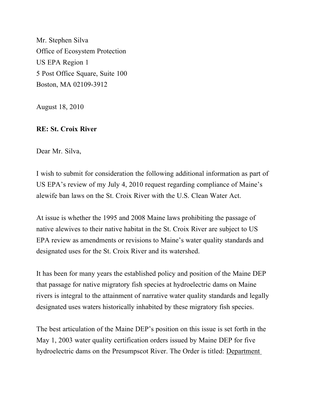Mr. Stephen Silva Office of Ecosystem Protection US EPA Region 1 5 Post Office Square, Suite 100 Boston, MA 02109-3912

August 18, 2010

## **RE: St. Croix River**

Dear Mr. Silva,

I wish to submit for consideration the following additional information as part of US EPA's review of my July 4, 2010 request regarding compliance of Maine's alewife ban laws on the St. Croix River with the U.S. Clean Water Act.

At issue is whether the 1995 and 2008 Maine laws prohibiting the passage of native alewives to their native habitat in the St. Croix River are subject to US EPA review as amendments or revisions to Maine's water quality standards and designated uses for the St. Croix River and its watershed.

It has been for many years the established policy and position of the Maine DEP that passage for native migratory fish species at hydroelectric dams on Maine rivers is integral to the attainment of narrative water quality standards and legally designated uses waters historically inhabited by these migratory fish species.

The best articulation of the Maine DEP's position on this issue is set forth in the May 1, 2003 water quality certification orders issued by Maine DEP for five hydroelectric dams on the Presumpscot River. The Order is titled: Department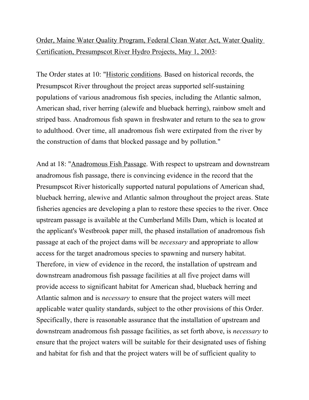## Order, Maine Water Quality Program, Federal Clean Water Act, Water Quality Certification, Presumpscot River Hydro Projects, May 1, 2003:

The Order states at 10: "Historic conditions. Based on historical records, the Presumpscot River throughout the project areas supported self-sustaining populations of various anadromous fish species, including the Atlantic salmon, American shad, river herring (alewife and blueback herring), rainbow smelt and striped bass. Anadromous fish spawn in freshwater and return to the sea to grow to adulthood. Over time, all anadromous fish were extirpated from the river by the construction of dams that blocked passage and by pollution."

And at 18: "Anadromous Fish Passage. With respect to upstream and downstream anadromous fish passage, there is convincing evidence in the record that the Presumpscot River historically supported natural populations of American shad, blueback herring, alewive and Atlantic salmon throughout the project areas. State fisheries agencies are developing a plan to restore these species to the river. Once upstream passage is available at the Cumberland Mills Dam, which is located at the applicant's Westbrook paper mill, the phased installation of anadromous fish passage at each of the project dams will be *necessary* and appropriate to allow access for the target anadromous species to spawning and nursery habitat. Therefore, in view of evidence in the record, the installation of upstream and downstream anadromous fish passage facilities at all five project dams will provide access to significant habitat for American shad, blueback herring and Atlantic salmon and is *necessary* to ensure that the project waters will meet applicable water quality standards, subject to the other provisions of this Order. Specifically, there is reasonable assurance that the installation of upstream and downstream anadromous fish passage facilities, as set forth above, is *necessary* to ensure that the project waters will be suitable for their designated uses of fishing and habitat for fish and that the project waters will be of sufficient quality to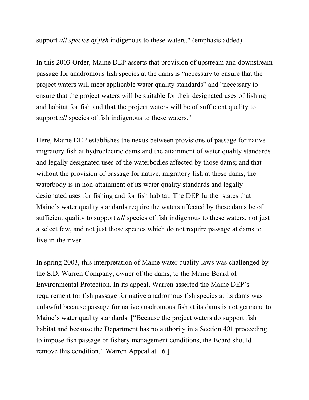support *all species of fish* indigenous to these waters." (emphasis added).

In this 2003 Order, Maine DEP asserts that provision of upstream and downstream passage for anadromous fish species at the dams is "necessary to ensure that the project waters will meet applicable water quality standards" and "necessary to ensure that the project waters will be suitable for their designated uses of fishing and habitat for fish and that the project waters will be of sufficient quality to support *all* species of fish indigenous to these waters."

Here, Maine DEP establishes the nexus between provisions of passage for native migratory fish at hydroelectric dams and the attainment of water quality standards and legally designated uses of the waterbodies affected by those dams; and that without the provision of passage for native, migratory fish at these dams, the waterbody is in non-attainment of its water quality standards and legally designated uses for fishing and for fish habitat. The DEP further states that Maine's water quality standards require the waters affected by these dams be of sufficient quality to support *all* species of fish indigenous to these waters, not just a select few, and not just those species which do not require passage at dams to live in the river.

In spring 2003, this interpretation of Maine water quality laws was challenged by the S.D. Warren Company, owner of the dams, to the Maine Board of Environmental Protection. In its appeal, Warren asserted the Maine DEP's requirement for fish passage for native anadromous fish species at its dams was unlawful because passage for native anadromous fish at its dams is not germane to Maine's water quality standards. ["Because the project waters do support fish habitat and because the Department has no authority in a Section 401 proceeding to impose fish passage or fishery management conditions, the Board should remove this condition." Warren Appeal at 16.]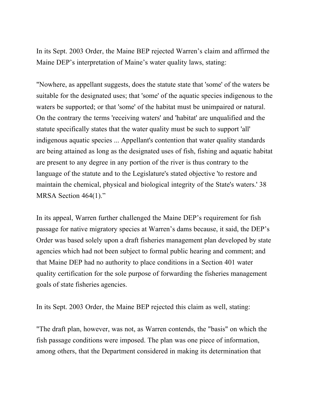In its Sept. 2003 Order, the Maine BEP rejected Warren's claim and affirmed the Maine DEP's interpretation of Maine's water quality laws, stating:

"Nowhere, as appellant suggests, does the statute state that 'some' of the waters be suitable for the designated uses; that 'some' of the aquatic species indigenous to the waters be supported; or that 'some' of the habitat must be unimpaired or natural. On the contrary the terms 'receiving waters' and 'habitat' are unqualified and the statute specifically states that the water quality must be such to support 'all' indigenous aquatic species ... Appellant's contention that water quality standards are being attained as long as the designated uses of fish, fishing and aquatic habitat are present to any degree in any portion of the river is thus contrary to the language of the statute and to the Legislature's stated objective 'to restore and maintain the chemical, physical and biological integrity of the State's waters.' 38 MRSA Section 464(1)."

In its appeal, Warren further challenged the Maine DEP's requirement for fish passage for native migratory species at Warren's dams because, it said, the DEP's Order was based solely upon a draft fisheries management plan developed by state agencies which had not been subject to formal public hearing and comment; and that Maine DEP had no authority to place conditions in a Section 401 water quality certification for the sole purpose of forwarding the fisheries management goals of state fisheries agencies.

In its Sept. 2003 Order, the Maine BEP rejected this claim as well, stating:

"The draft plan, however, was not, as Warren contends, the "basis" on which the fish passage conditions were imposed. The plan was one piece of information, among others, that the Department considered in making its determination that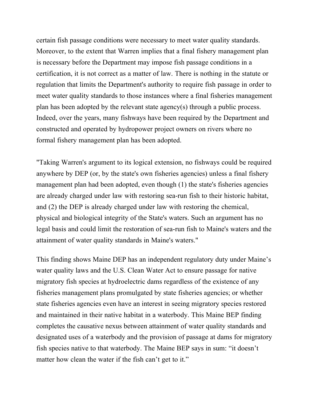certain fish passage conditions were necessary to meet water quality standards. Moreover, to the extent that Warren implies that a final fishery management plan is necessary before the Department may impose fish passage conditions in a certification, it is not correct as a matter of law. There is nothing in the statute or regulation that limits the Department's authority to require fish passage in order to meet water quality standards to those instances where a final fisheries management plan has been adopted by the relevant state agency(s) through a public process. Indeed, over the years, many fishways have been required by the Department and constructed and operated by hydropower project owners on rivers where no formal fishery management plan has been adopted.

"Taking Warren's argument to its logical extension, no fishways could be required anywhere by DEP (or, by the state's own fisheries agencies) unless a final fishery management plan had been adopted, even though (1) the state's fisheries agencies are already charged under law with restoring sea-run fish to their historic habitat, and (2) the DEP is already charged under law with restoring the chemical, physical and biological integrity of the State's waters. Such an argument has no legal basis and could limit the restoration of sea-run fish to Maine's waters and the attainment of water quality standards in Maine's waters."

This finding shows Maine DEP has an independent regulatory duty under Maine's water quality laws and the U.S. Clean Water Act to ensure passage for native migratory fish species at hydroelectric dams regardless of the existence of any fisheries management plans promulgated by state fisheries agencies; or whether state fisheries agencies even have an interest in seeing migratory species restored and maintained in their native habitat in a waterbody. This Maine BEP finding completes the causative nexus between attainment of water quality standards and designated uses of a waterbody and the provision of passage at dams for migratory fish species native to that waterbody. The Maine BEP says in sum: "it doesn't matter how clean the water if the fish can't get to it."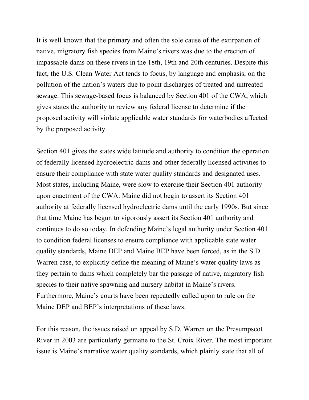It is well known that the primary and often the sole cause of the extirpation of native, migratory fish species from Maine's rivers was due to the erection of impassable dams on these rivers in the 18th, 19th and 20th centuries. Despite this fact, the U.S. Clean Water Act tends to focus, by language and emphasis, on the pollution of the nation's waters due to point discharges of treated and untreated sewage. This sewage-based focus is balanced by Section 401 of the CWA, which gives states the authority to review any federal license to determine if the proposed activity will violate applicable water standards for waterbodies affected by the proposed activity.

Section 401 gives the states wide latitude and authority to condition the operation of federally licensed hydroelectric dams and other federally licensed activities to ensure their compliance with state water quality standards and designated uses. Most states, including Maine, were slow to exercise their Section 401 authority upon enactment of the CWA. Maine did not begin to assert its Section 401 authority at federally licensed hydroelectric dams until the early 1990s. But since that time Maine has begun to vigorously assert its Section 401 authority and continues to do so today. In defending Maine's legal authority under Section 401 to condition federal licenses to ensure compliance with applicable state water quality standards, Maine DEP and Maine BEP have been forced, as in the S.D. Warren case, to explicitly define the meaning of Maine's water quality laws as they pertain to dams which completely bar the passage of native, migratory fish species to their native spawning and nursery habitat in Maine's rivers. Furthermore, Maine's courts have been repeatedly called upon to rule on the Maine DEP and BEP's interpretations of these laws.

For this reason, the issues raised on appeal by S.D. Warren on the Presumpscot River in 2003 are particularly germane to the St. Croix River. The most important issue is Maine's narrative water quality standards, which plainly state that all of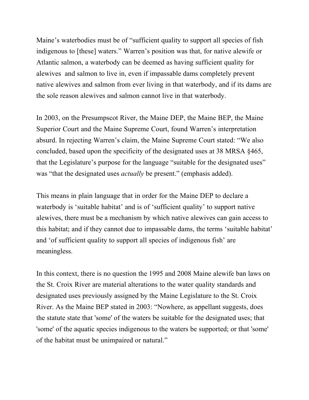Maine's waterbodies must be of "sufficient quality to support all species of fish indigenous to [these] waters." Warren's position was that, for native alewife or Atlantic salmon, a waterbody can be deemed as having sufficient quality for alewives and salmon to live in, even if impassable dams completely prevent native alewives and salmon from ever living in that waterbody, and if its dams are the sole reason alewives and salmon cannot live in that waterbody.

In 2003, on the Presumpscot River, the Maine DEP, the Maine BEP, the Maine Superior Court and the Maine Supreme Court, found Warren's interpretation absurd. In rejecting Warren's claim, the Maine Supreme Court stated: "We also concluded, based upon the specificity of the designated uses at 38 MRSA §465, that the Legislature's purpose for the language "suitable for the designated uses" was "that the designated uses *actually* be present." (emphasis added).

This means in plain language that in order for the Maine DEP to declare a waterbody is 'suitable habitat' and is of 'sufficient quality' to support native alewives, there must be a mechanism by which native alewives can gain access to this habitat; and if they cannot due to impassable dams, the terms 'suitable habitat' and 'of sufficient quality to support all species of indigenous fish' are meaningless.

In this context, there is no question the 1995 and 2008 Maine alewife ban laws on the St. Croix River are material alterations to the water quality standards and designated uses previously assigned by the Maine Legislature to the St. Croix River. As the Maine BEP stated in 2003: "Nowhere, as appellant suggests, does the statute state that 'some' of the waters be suitable for the designated uses; that 'some' of the aquatic species indigenous to the waters be supported; or that 'some' of the habitat must be unimpaired or natural."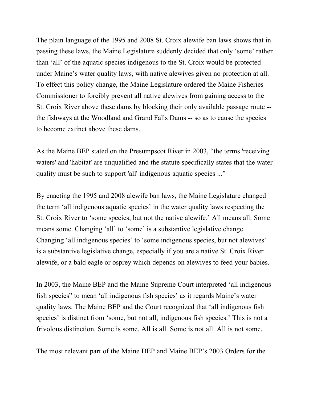The plain language of the 1995 and 2008 St. Croix alewife ban laws shows that in passing these laws, the Maine Legislature suddenly decided that only 'some' rather than 'all' of the aquatic species indigenous to the St. Croix would be protected under Maine's water quality laws, with native alewives given no protection at all. To effect this policy change, the Maine Legislature ordered the Maine Fisheries Commissioner to forcibly prevent all native alewives from gaining access to the St. Croix River above these dams by blocking their only available passage route - the fishways at the Woodland and Grand Falls Dams -- so as to cause the species to become extinct above these dams.

As the Maine BEP stated on the Presumpscot River in 2003, "the terms 'receiving waters' and 'habitat' are unqualified and the statute specifically states that the water quality must be such to support 'all' indigenous aquatic species ..."

By enacting the 1995 and 2008 alewife ban laws, the Maine Legislature changed the term 'all indigenous aquatic species' in the water quality laws respecting the St. Croix River to 'some species, but not the native alewife.' All means all. Some means some. Changing 'all' to 'some' is a substantive legislative change. Changing 'all indigenous species' to 'some indigenous species, but not alewives' is a substantive legislative change, especially if you are a native St. Croix River alewife, or a bald eagle or osprey which depends on alewives to feed your babies.

In 2003, the Maine BEP and the Maine Supreme Court interpreted 'all indigenous fish species" to mean 'all indigenous fish species' as it regards Maine's water quality laws. The Maine BEP and the Court recognized that 'all indigenous fish species' is distinct from 'some, but not all, indigenous fish species.' This is not a frivolous distinction. Some is some. All is all. Some is not all. All is not some.

The most relevant part of the Maine DEP and Maine BEP's 2003 Orders for the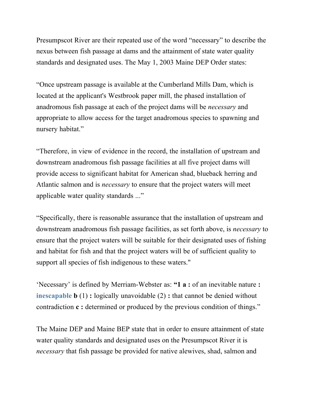Presumpscot River are their repeated use of the word "necessary" to describe the nexus between fish passage at dams and the attainment of state water quality standards and designated uses. The May 1, 2003 Maine DEP Order states:

"Once upstream passage is available at the Cumberland Mills Dam, which is located at the applicant's Westbrook paper mill, the phased installation of anadromous fish passage at each of the project dams will be *necessary* and appropriate to allow access for the target anadromous species to spawning and nursery habitat."

"Therefore, in view of evidence in the record, the installation of upstream and downstream anadromous fish passage facilities at all five project dams will provide access to significant habitat for American shad, blueback herring and Atlantic salmon and is *necessary* to ensure that the project waters will meet applicable water quality standards ..."

"Specifically, there is reasonable assurance that the installation of upstream and downstream anadromous fish passage facilities, as set forth above, is *necessary* to ensure that the project waters will be suitable for their designated uses of fishing and habitat for fish and that the project waters will be of sufficient quality to support all species of fish indigenous to these waters."

'Necessary' is defined by Merriam-Webster as: **"1 a :** of an inevitable nature **: inescapable b** (1) **:** logically unavoidable (2) **:** that cannot be denied without contradiction **c :** determined or produced by the previous condition of things."

The Maine DEP and Maine BEP state that in order to ensure attainment of state water quality standards and designated uses on the Presumpscot River it is *necessary* that fish passage be provided for native alewives, shad, salmon and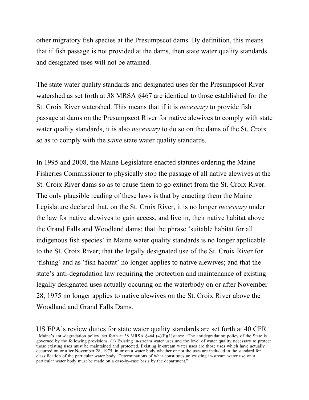other migratory fish species at the Presumpscot dams. By definition, this means that if fish passage is not provided at the dams, then state water quality standards and designated uses will not be attained.

The state water quality standards and designated uses for the Presumpscot River watershed as set forth at 38 MRSA §467 are identical to those established for the St. Croix River watershed. This means that if it is *necessary* to provide fish passage at dams on the Presumpscot River for native alewives to comply with state water quality standards, it is also *necessary* to do so on the dams of the St. Croix so as to comply with the *same* state water quality standards.

In 1995 and 2008, the Maine Legislature enacted statutes ordering the Maine Fisheries Commissioner to physically stop the passage of all native alewives at the St. Croix River dams so as to cause them to go extinct from the St. Croix River. The only plausible reading of these laws is that by enacting them the Maine Legislature declared that, on the St. Croix River, it is no longer *necessary* under the law for native alewives to gain access, and live in, their native habitat above the Grand Falls and Woodland dams; that the phrase 'suitable habitat for all indigenous fish species' in Maine water quality standards is no longer applicable to the St. Croix River; that the legally designated use of the St. Croix River for 'fishing' and as 'fish habitat' no longer applies to native alewives; and that the state's anti-degradation law requiring the protection and maintenance of existing legally designated uses actually occuring on the waterbody on or after November 28, 1975 no longer applies to native alewives on the St. Croix River above the Woodland and Grand Falls Dams.<sup>1</sup>

US EPA's review duties for state water quality standards are set forth at 40 CFR Maine's anti-degradation policy, set forth at 38 MRSA §464 (4)(F)(1)states: "The antidegradation policy of the State is governed by the following provisions. (1) Existing in-stream water uses and the level of water quality necessary to protect those existing uses must be maintained and protected. Existing in-stream water uses are those uses which have actually occurred on or after November 28, 1975, in or on a water body whether or not the uses are included in the standard for classification of the particular water body. Determinations of what constitutes an existing in-stream water use on a particular water body must be made on a case-by-case basis by the department."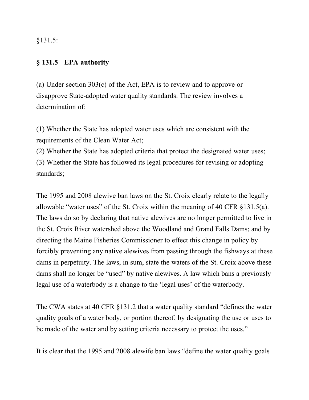§131.5:

## **§ 131.5 EPA authority**

(a) Under section 303(c) of the Act, EPA is to review and to approve or disapprove State-adopted water quality standards. The review involves a determination of:

(1) Whether the State has adopted water uses which are consistent with the requirements of the Clean Water Act;

(2) Whether the State has adopted criteria that protect the designated water uses; (3) Whether the State has followed its legal procedures for revising or adopting standards;

The 1995 and 2008 alewive ban laws on the St. Croix clearly relate to the legally allowable "water uses" of the St. Croix within the meaning of 40 CFR §131.5(a). The laws do so by declaring that native alewives are no longer permitted to live in the St. Croix River watershed above the Woodland and Grand Falls Dams; and by directing the Maine Fisheries Commissioner to effect this change in policy by forcibly preventing any native alewives from passing through the fishways at these dams in perpetuity. The laws, in sum, state the waters of the St. Croix above these dams shall no longer be "used" by native alewives. A law which bans a previously legal use of a waterbody is a change to the 'legal uses' of the waterbody.

The CWA states at 40 CFR §131.2 that a water quality standard "defines the water quality goals of a water body, or portion thereof, by designating the use or uses to be made of the water and by setting criteria necessary to protect the uses."

It is clear that the 1995 and 2008 alewife ban laws "define the water quality goals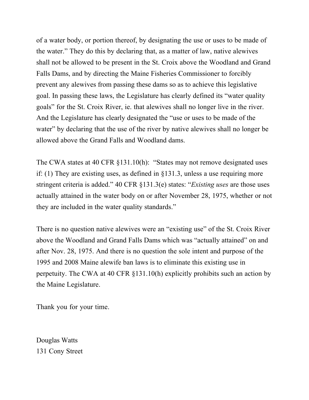of a water body, or portion thereof, by designating the use or uses to be made of the water." They do this by declaring that, as a matter of law, native alewives shall not be allowed to be present in the St. Croix above the Woodland and Grand Falls Dams, and by directing the Maine Fisheries Commissioner to forcibly prevent any alewives from passing these dams so as to achieve this legislative goal. In passing these laws, the Legislature has clearly defined its "water quality goals" for the St. Croix River, ie. that alewives shall no longer live in the river. And the Legislature has clearly designated the "use or uses to be made of the water" by declaring that the use of the river by native alewives shall no longer be allowed above the Grand Falls and Woodland dams.

The CWA states at 40 CFR §131.10(h): "States may not remove designated uses if: (1) They are existing uses, as defined in §131.3, unless a use requiring more stringent criteria is added." 40 CFR §131.3(e) states: "*Existing uses* are those uses actually attained in the water body on or after November 28, 1975, whether or not they are included in the water quality standards."

There is no question native alewives were an "existing use" of the St. Croix River above the Woodland and Grand Falls Dams which was "actually attained" on and after Nov. 28, 1975. And there is no question the sole intent and purpose of the 1995 and 2008 Maine alewife ban laws is to eliminate this existing use in perpetuity. The CWA at 40 CFR §131.10(h) explicitly prohibits such an action by the Maine Legislature.

Thank you for your time.

Douglas Watts 131 Cony Street